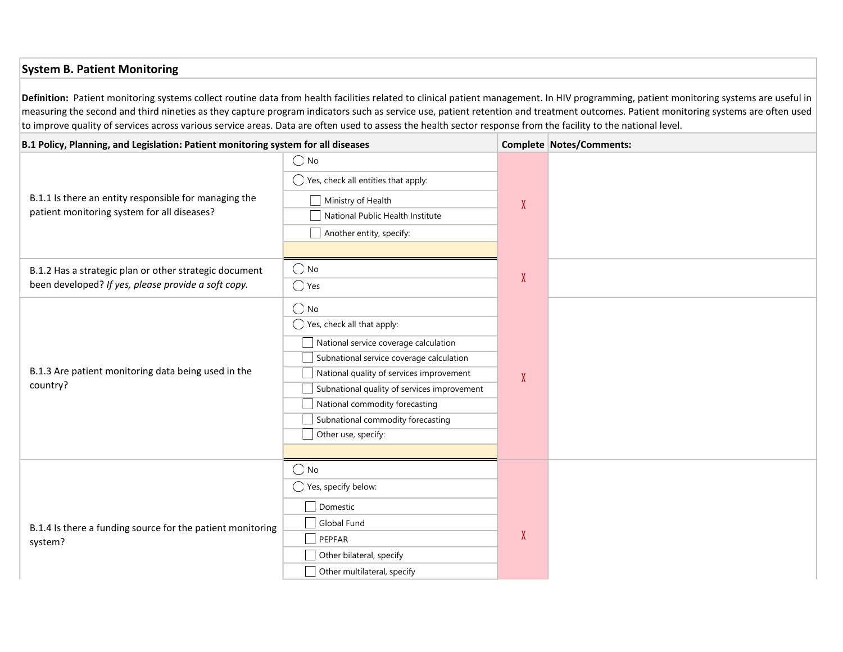## System B. Patient Monitoring

Definition: Patient monitoring systems collect routine data from health facilities related to clinical patient management. In HIV programming, patient monitoring systems are useful in measuring the second and third nineties as they capture program indicators such as service use, patient retention and treatment outcomes. Patient monitoring systems are often used to improve quality of services across various service areas. Data are often used to assess the health sector response from the facility to the national level.

| B.1 Policy, Planning, and Legislation: Patient monitoring system for all diseases                             |                                                                                                                                                                                                                                                                                                                                      |        | Complete Notes/Comments: |
|---------------------------------------------------------------------------------------------------------------|--------------------------------------------------------------------------------------------------------------------------------------------------------------------------------------------------------------------------------------------------------------------------------------------------------------------------------------|--------|--------------------------|
| B.1.1 Is there an entity responsible for managing the<br>patient monitoring system for all diseases?          | $\bigcirc$ No<br>$\bigcirc$ Yes, check all entities that apply:<br>Ministry of Health<br>National Public Health Institute<br>Another entity, specify:                                                                                                                                                                                | X      |                          |
| B.1.2 Has a strategic plan or other strategic document<br>been developed? If yes, please provide a soft copy. | $\bigcirc$ No<br>$\bigcirc$ Yes                                                                                                                                                                                                                                                                                                      | $\chi$ |                          |
| B.1.3 Are patient monitoring data being used in the<br>country?                                               | $\bigcirc$ No<br>$\bigcirc$ Yes, check all that apply:<br>National service coverage calculation<br>Subnational service coverage calculation<br>National quality of services improvement<br>Subnational quality of services improvement<br>National commodity forecasting<br>Subnational commodity forecasting<br>Other use, specify: | X      |                          |
| B.1.4 Is there a funding source for the patient monitoring<br>system?                                         | $\bigcirc$ No<br>$\bigcirc$ Yes, specify below:<br>Domestic<br>Global Fund<br>PEPFAR<br>Other bilateral, specify<br>Other multilateral, specify                                                                                                                                                                                      | X      |                          |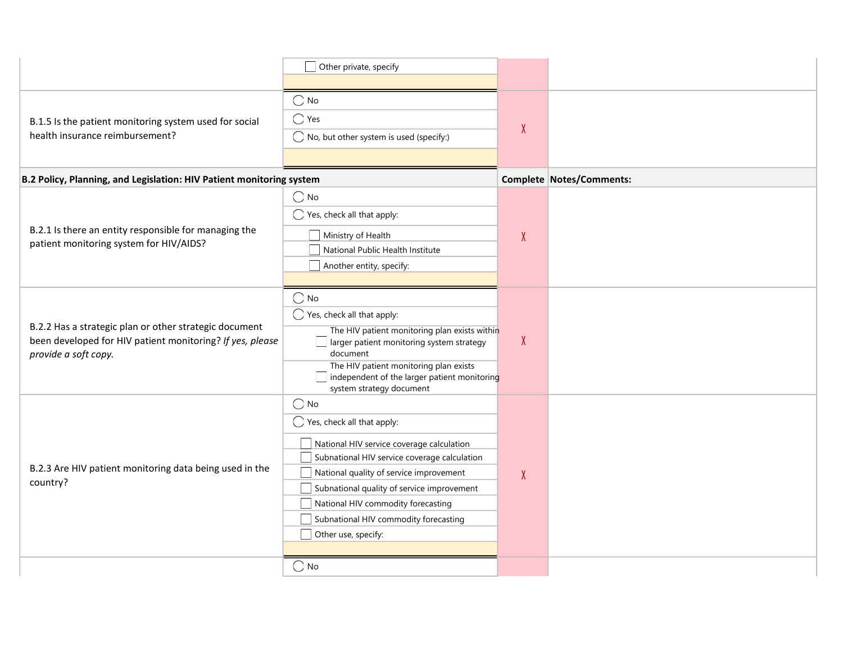|                                                                                                                                             | Other private, specify                                                                                                                                                                                                                                                                                                                             |        |                          |
|---------------------------------------------------------------------------------------------------------------------------------------------|----------------------------------------------------------------------------------------------------------------------------------------------------------------------------------------------------------------------------------------------------------------------------------------------------------------------------------------------------|--------|--------------------------|
| B.1.5 Is the patient monitoring system used for social<br>health insurance reimbursement?                                                   | $\bigcirc$ No<br>$\bigcirc$ Yes<br>$\bigcirc$ No, but other system is used (specify:)                                                                                                                                                                                                                                                              | $\chi$ |                          |
| B.2 Policy, Planning, and Legislation: HIV Patient monitoring system                                                                        |                                                                                                                                                                                                                                                                                                                                                    |        | Complete Notes/Comments: |
| B.2.1 Is there an entity responsible for managing the<br>patient monitoring system for HIV/AIDS?                                            | $\bigcirc$ No<br>$\bigcirc$ Yes, check all that apply:<br>Ministry of Health<br>National Public Health Institute<br>Another entity, specify:                                                                                                                                                                                                       | $\chi$ |                          |
| B.2.2 Has a strategic plan or other strategic document<br>been developed for HIV patient monitoring? If yes, please<br>provide a soft copy. | $\bigcirc$ No<br>$\bigcirc$ Yes, check all that apply:<br>The HIV patient monitoring plan exists within<br>larger patient monitoring system strategy<br>document<br>The HIV patient monitoring plan exists<br>independent of the larger patient monitoring<br>system strategy document                                                             | X      |                          |
| B.2.3 Are HIV patient monitoring data being used in the<br>country?                                                                         | $\bigcirc$ No<br>$\bigcirc$ Yes, check all that apply:<br>National HIV service coverage calculation<br>Subnational HIV service coverage calculation<br>National quality of service improvement<br>Subnational quality of service improvement<br>National HIV commodity forecasting<br>Subnational HIV commodity forecasting<br>Other use, specify: | X      |                          |
|                                                                                                                                             | $\bigcirc$ No                                                                                                                                                                                                                                                                                                                                      |        |                          |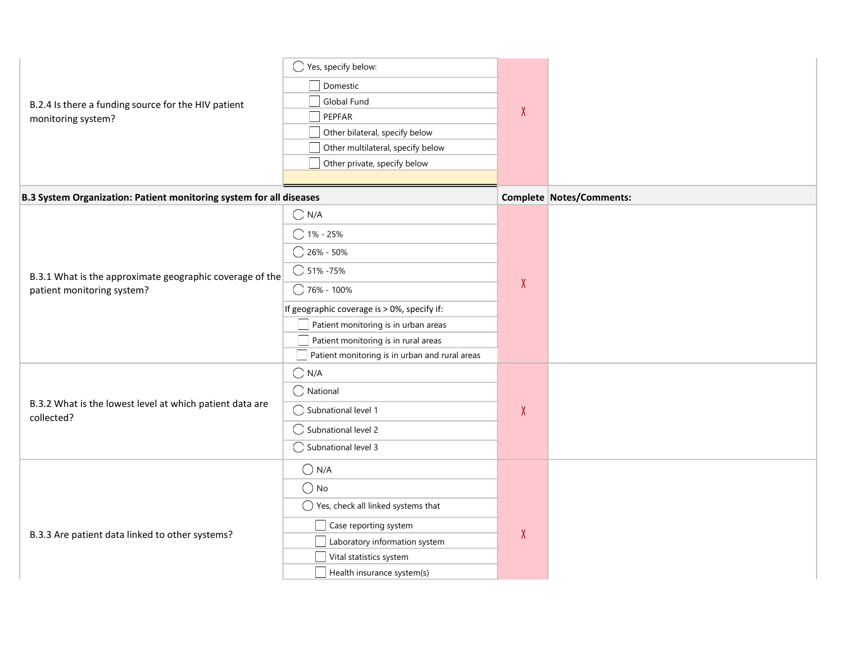| B.2.4 Is there a funding source for the HIV patient<br>monitoring system?              | $\bigcirc$ Yes, specify below:<br>Domestic<br>Global Fund<br>PEPFAR<br>Other bilateral, specify below<br>Other multilateral, specify below<br>Other private, specify below                                                                                                                            | X      |                          |
|----------------------------------------------------------------------------------------|-------------------------------------------------------------------------------------------------------------------------------------------------------------------------------------------------------------------------------------------------------------------------------------------------------|--------|--------------------------|
|                                                                                        |                                                                                                                                                                                                                                                                                                       |        |                          |
| B.3 System Organization: Patient monitoring system for all diseases                    |                                                                                                                                                                                                                                                                                                       |        | Complete Notes/Comments: |
| B.3.1 What is the approximate geographic coverage of the<br>patient monitoring system? | $\bigcirc$ N/A<br>$\bigcirc$ 1% - 25%<br>$\bigcirc$ 26% - 50%<br>$\bigcirc$ 51% -75%<br>$\bigcirc$ 76% - 100%<br>If geographic coverage is > 0%, specify if:<br>Patient monitoring is in urban areas<br>Patient monitoring is in rural areas<br>$\Box$ Patient monitoring is in urban and rural areas | X      |                          |
| B.3.2 What is the lowest level at which patient data are<br>collected?                 | $\bigcirc$ N/A<br>$\bigcirc$ National<br>$\bigcirc$ Subnational level 1<br>$\bigcirc$ Subnational level 2<br>$\bigcirc$ Subnational level 3                                                                                                                                                           | $\chi$ |                          |
| B.3.3 Are patient data linked to other systems?                                        | $\bigcirc$ N/A<br>$\bigcirc$ No<br>$\bigcirc$ Yes, check all linked systems that<br>$\Box$ Case reporting system<br>Laboratory information system<br>Vital statistics system<br>Health insurance system(s)                                                                                            | $\chi$ |                          |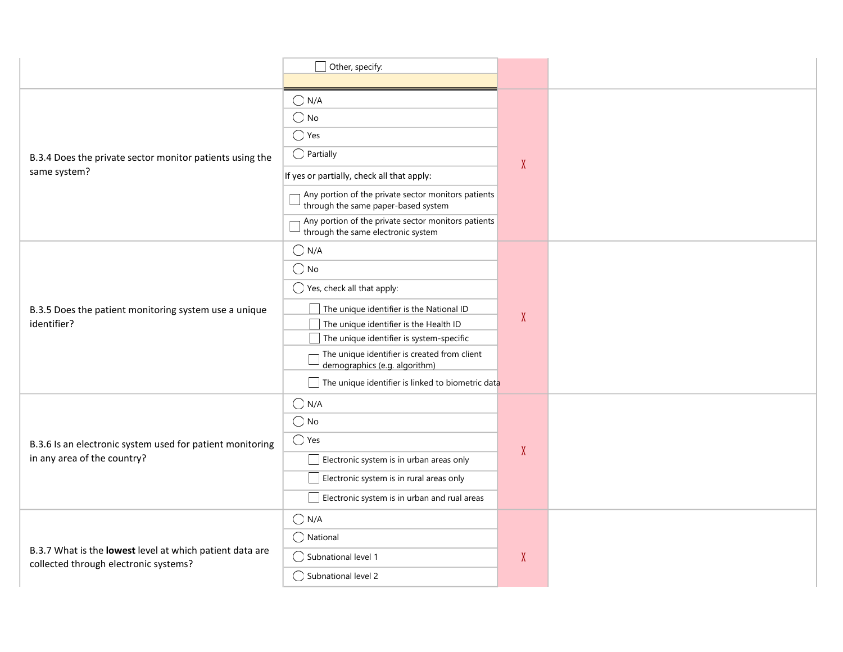|                                                                                                   | $\Box$ Other, specify:                                                                     |        |  |
|---------------------------------------------------------------------------------------------------|--------------------------------------------------------------------------------------------|--------|--|
|                                                                                                   |                                                                                            |        |  |
|                                                                                                   | $\bigcirc$ N/A                                                                             |        |  |
|                                                                                                   | $\bigcirc$ No                                                                              |        |  |
|                                                                                                   | $\bigcirc$ Yes                                                                             | $\chi$ |  |
| B.3.4 Does the private sector monitor patients using the                                          | $\bigcirc$ Partially                                                                       |        |  |
| same system?                                                                                      | If yes or partially, check all that apply:                                                 |        |  |
|                                                                                                   | Any portion of the private sector monitors patients<br>through the same paper-based system |        |  |
|                                                                                                   | Any portion of the private sector monitors patients<br>through the same electronic system  |        |  |
|                                                                                                   | $\bigcirc$ N/A                                                                             |        |  |
|                                                                                                   | $\bigcirc$ No                                                                              |        |  |
| B.3.5 Does the patient monitoring system use a unique                                             | $\bigcirc$ Yes, check all that apply:                                                      |        |  |
|                                                                                                   | The unique identifier is the National ID                                                   | $\chi$ |  |
| identifier?                                                                                       | The unique identifier is the Health ID                                                     |        |  |
|                                                                                                   | The unique identifier is system-specific                                                   |        |  |
|                                                                                                   | The unique identifier is created from client<br>demographics (e.g. algorithm)              |        |  |
|                                                                                                   | The unique identifier is linked to biometric data                                          |        |  |
|                                                                                                   | $\bigcirc$ N/A                                                                             |        |  |
|                                                                                                   | $\bigcirc$ No                                                                              |        |  |
| B.3.6 Is an electronic system used for patient monitoring                                         | $\bigcirc$ Yes                                                                             |        |  |
| in any area of the country?                                                                       | Electronic system is in urban areas only                                                   | X      |  |
|                                                                                                   | Electronic system is in rural areas only                                                   |        |  |
|                                                                                                   | $\Box$ Electronic system is in urban and rual areas                                        |        |  |
|                                                                                                   | $\bigcirc$ N/A                                                                             |        |  |
|                                                                                                   | $\bigcirc$ National                                                                        |        |  |
| B.3.7 What is the lowest level at which patient data are<br>collected through electronic systems? | $\bigcirc$ Subnational level 1                                                             | X      |  |
|                                                                                                   | $\bigcirc$ Subnational level 2                                                             |        |  |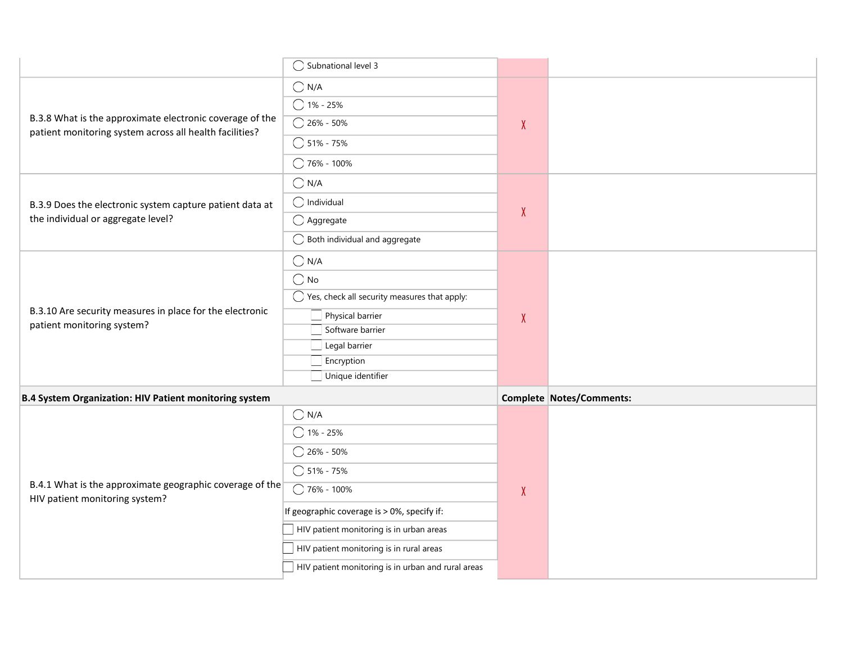|                                                                                                                     | ◯ Subnational level 3                                   |              |                          |
|---------------------------------------------------------------------------------------------------------------------|---------------------------------------------------------|--------------|--------------------------|
|                                                                                                                     | $\bigcirc$ N/A                                          |              |                          |
|                                                                                                                     | $O$ 1% - 25%                                            |              |                          |
| B.3.8 What is the approximate electronic coverage of the<br>patient monitoring system across all health facilities? | $\bigcirc$ 26% - 50%                                    | $\mathsf{X}$ |                          |
|                                                                                                                     | $\bigcirc$ 51% - 75%                                    |              |                          |
|                                                                                                                     | $\bigcirc$ 76% - 100%                                   |              |                          |
|                                                                                                                     | $\bigcirc$ N/A                                          |              |                          |
| B.3.9 Does the electronic system capture patient data at                                                            | $\bigcirc$ Individual                                   |              |                          |
| the individual or aggregate level?                                                                                  | $\bigcirc$ Aggregate                                    | X            |                          |
|                                                                                                                     | $\bigcirc$ Both individual and aggregate                |              |                          |
|                                                                                                                     | $\bigcirc$ N/A                                          |              |                          |
|                                                                                                                     | $\bigcirc$ No                                           |              |                          |
|                                                                                                                     | $\bigcirc$ Yes, check all security measures that apply: |              |                          |
| B.3.10 Are security measures in place for the electronic<br>patient monitoring system?                              | Physical barrier                                        | $\pmb{\chi}$ |                          |
|                                                                                                                     | Software barrier<br>Legal barrier                       |              |                          |
|                                                                                                                     | Encryption                                              |              |                          |
|                                                                                                                     | Unique identifier                                       |              |                          |
| <b>B.4 System Organization: HIV Patient monitoring system</b>                                                       |                                                         |              | Complete Notes/Comments: |
|                                                                                                                     | $\bigcirc$ N/A                                          |              |                          |
|                                                                                                                     | $\bigcirc$ 1% - 25%                                     |              |                          |
|                                                                                                                     | $\bigcirc$ 26% - 50%                                    |              |                          |
| B.4.1 What is the approximate geographic coverage of the                                                            | $\bigcirc$ 51% - 75%                                    |              |                          |
| HIV patient monitoring system?                                                                                      | $\bigcirc$ 76% - 100%                                   | $\chi$       |                          |
|                                                                                                                     | If geographic coverage is > 0%, specify if:             |              |                          |
|                                                                                                                     | HIV patient monitoring is in urban areas                |              |                          |
|                                                                                                                     | HIV patient monitoring is in rural areas                |              |                          |
|                                                                                                                     | HIV patient monitoring is in urban and rural areas      |              |                          |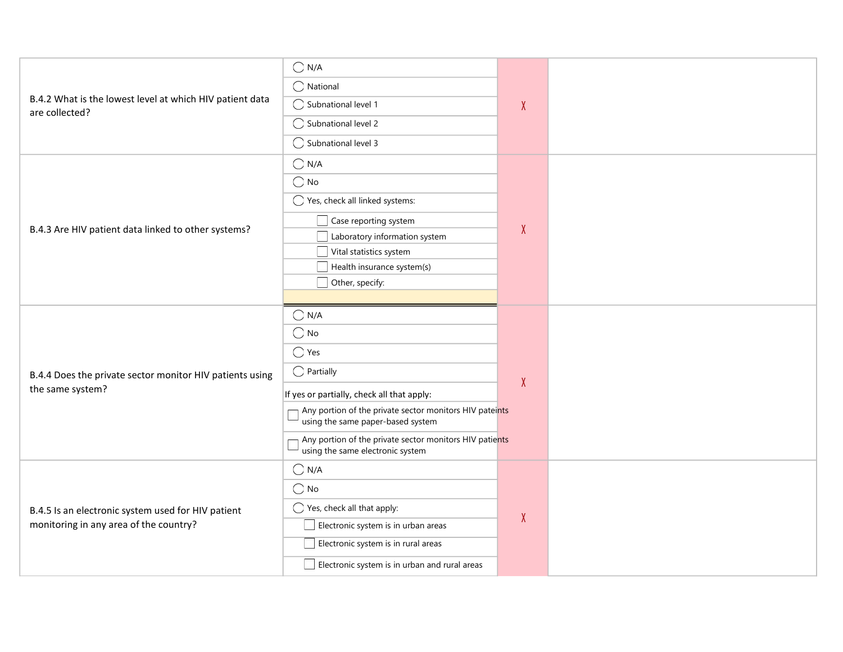|                                                                                              | $\bigcirc$ N/A                                                                               |        |  |
|----------------------------------------------------------------------------------------------|----------------------------------------------------------------------------------------------|--------|--|
| B.4.2 What is the lowest level at which HIV patient data<br>are collected?                   |                                                                                              |        |  |
|                                                                                              | $\bigcirc$ National                                                                          |        |  |
|                                                                                              | ◯ Subnational level 1                                                                        | $\chi$ |  |
|                                                                                              | ◯ Subnational level 2                                                                        |        |  |
|                                                                                              | ◯ Subnational level 3                                                                        |        |  |
|                                                                                              | $\bigcirc$ N/A                                                                               |        |  |
|                                                                                              | $\bigcirc$ No                                                                                |        |  |
|                                                                                              | $\bigcirc$ Yes, check all linked systems:                                                    |        |  |
|                                                                                              | Case reporting system                                                                        |        |  |
| B.4.3 Are HIV patient data linked to other systems?                                          | Laboratory information system                                                                | $\chi$ |  |
|                                                                                              | Vital statistics system                                                                      |        |  |
|                                                                                              | Health insurance system(s)                                                                   |        |  |
|                                                                                              | Other, specify:                                                                              |        |  |
|                                                                                              |                                                                                              |        |  |
|                                                                                              | $\bigcirc$ N/A                                                                               |        |  |
|                                                                                              | $\bigcirc$ No                                                                                |        |  |
|                                                                                              | $\bigcirc$ Yes                                                                               | $\chi$ |  |
| B.4.4 Does the private sector monitor HIV patients using                                     | $\bigcirc$ Partially                                                                         |        |  |
| the same system?                                                                             | If yes or partially, check all that apply:                                                   |        |  |
|                                                                                              | Any portion of the private sector monitors HIV pateints<br>using the same paper-based system |        |  |
|                                                                                              | Any portion of the private sector monitors HIV patients<br>using the same electronic system  |        |  |
|                                                                                              | $\bigcirc$ N/A                                                                               |        |  |
|                                                                                              | $\bigcirc$ No                                                                                | X      |  |
| B.4.5 Is an electronic system used for HIV patient<br>monitoring in any area of the country? | $\bigcirc$ Yes, check all that apply:                                                        |        |  |
|                                                                                              | Electronic system is in urban areas                                                          |        |  |
|                                                                                              | Electronic system is in rural areas                                                          |        |  |
|                                                                                              | $\Box$ Electronic system is in urban and rural areas                                         |        |  |
|                                                                                              |                                                                                              |        |  |